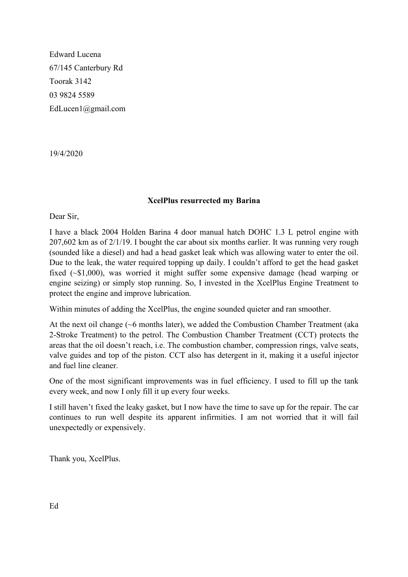Edward Lucena 67/145 Canterbury Rd Toorak 3142 03 9824 5589 EdLucen1@gmail.com

19/4/2020

## **XcelPlus resurrected my Barina**

Dear Sir,

I have a black 2004 Holden Barina 4 door manual hatch DOHC 1.3 L petrol engine with 207,602 km as of 2/1/19. I bought the car about six months earlier. It was running very rough (sounded like a diesel) and had a head gasket leak which was allowing water to enter the oil. Due to the leak, the water required topping up daily. I couldn't afford to get the head gasket fixed (~\$1,000), was worried it might suffer some expensive damage (head warping or engine seizing) or simply stop running. So, I invested in the XcelPlus Engine Treatment to protect the engine and improve lubrication.

Within minutes of adding the XcelPlus, the engine sounded quieter and ran smoother.

At the next oil change (~6 months later), we added the Combustion Chamber Treatment (aka 2-Stroke Treatment) to the petrol. The Combustion Chamber Treatment (CCT) protects the areas that the oil doesn't reach, i.e. The combustion chamber, compression rings, valve seats, valve guides and top of the piston. CCT also has detergent in it, making it a useful injector and fuel line cleaner.

One of the most significant improvements was in fuel efficiency. I used to fill up the tank every week, and now I only fill it up every four weeks.

I still haven't fixed the leaky gasket, but I now have the time to save up for the repair. The car continues to run well despite its apparent infirmities. I am not worried that it will fail unexpectedly or expensively.

Thank you, XcelPlus.